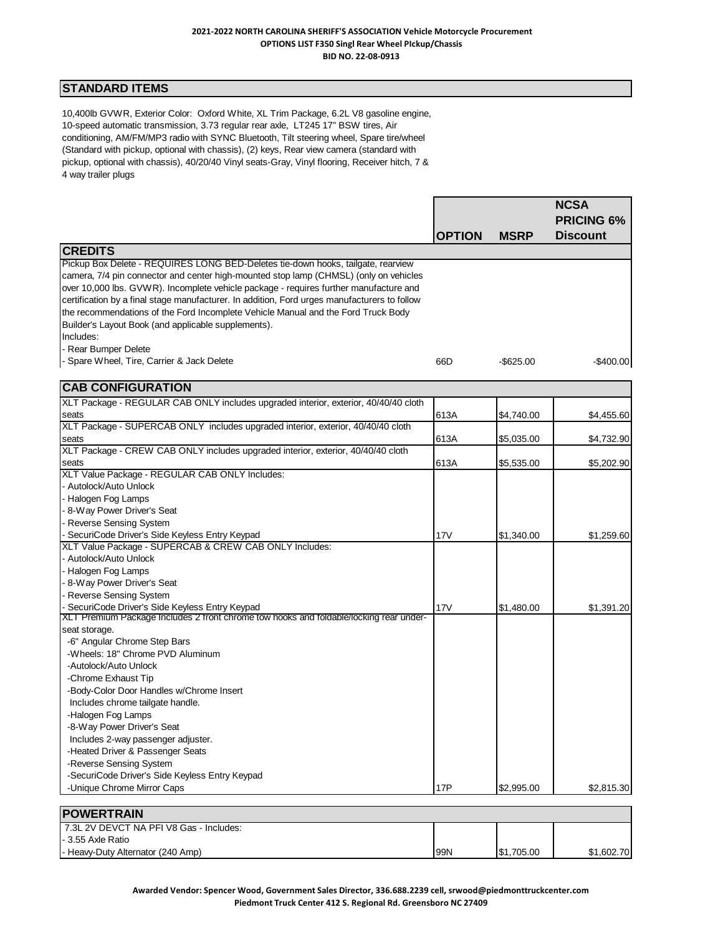## **STANDARD ITEMS**

10,400lb GVWR, Exterior Color: Oxford White, XL Trim Package, 6.2L V8 gasoline engine, 10-speed automatic transmission, 3.73 regular rear axle, LT245 17" BSW tires, Air conditioning, AM/FM/MP3 radio with SYNC Bluetooth, Tilt steering wheel, Spare tire/wheel (Standard with pickup, optional with chassis), (2) keys, Rear view camera (standard with pickup, optional with chassis), 40/20/40 Vinyl seats-Gray, Vinyl flooring, Receiver hitch, 7 & 4 way trailer plugs

|                                                                                                                                                                                                                                                                                                                                                                                                                                                         |               |              | <b>NCSA</b>       |
|---------------------------------------------------------------------------------------------------------------------------------------------------------------------------------------------------------------------------------------------------------------------------------------------------------------------------------------------------------------------------------------------------------------------------------------------------------|---------------|--------------|-------------------|
|                                                                                                                                                                                                                                                                                                                                                                                                                                                         |               |              | <b>PRICING 6%</b> |
|                                                                                                                                                                                                                                                                                                                                                                                                                                                         | <b>OPTION</b> | <b>MSRP</b>  | <b>Discount</b>   |
| <b>CREDITS</b>                                                                                                                                                                                                                                                                                                                                                                                                                                          |               |              |                   |
| Pickup Box Delete - REQUIRES LONG BED-Deletes tie-down hooks, tailgate, rearview<br>camera, 7/4 pin connector and center high-mounted stop lamp (CHMSL) (only on vehicles<br>over 10,000 lbs. GVWR). Incomplete vehicle package - requires further manufacture and<br>certification by a final stage manufacturer. In addition, Ford urges manufacturers to follow<br>the recommendations of the Ford Incomplete Vehicle Manual and the Ford Truck Body |               |              |                   |
| Builder's Layout Book (and applicable supplements).                                                                                                                                                                                                                                                                                                                                                                                                     |               |              |                   |
| Includes:                                                                                                                                                                                                                                                                                                                                                                                                                                               |               |              |                   |
| - Rear Bumper Delete                                                                                                                                                                                                                                                                                                                                                                                                                                    |               |              |                   |
| - Spare Wheel, Tire, Carrier & Jack Delete                                                                                                                                                                                                                                                                                                                                                                                                              | 66D           | $-$ \$625.00 | $-$400.00$        |
| <b>CAB CONFIGURATION</b>                                                                                                                                                                                                                                                                                                                                                                                                                                |               |              |                   |
| XLT Package - REGULAR CAB ONLY includes upgraded interior, exterior, 40/40/40 cloth                                                                                                                                                                                                                                                                                                                                                                     |               |              |                   |
| seats                                                                                                                                                                                                                                                                                                                                                                                                                                                   | 613A          | \$4,740.00   | \$4,455.60        |
| XLT Package - SUPERCAB ONLY includes upgraded interior, exterior, 40/40/40 cloth                                                                                                                                                                                                                                                                                                                                                                        |               |              |                   |
| seats                                                                                                                                                                                                                                                                                                                                                                                                                                                   | 613A          | \$5,035.00   | \$4,732.90        |
| XLT Package - CREW CAB ONLY includes upgraded interior, exterior, 40/40/40 cloth                                                                                                                                                                                                                                                                                                                                                                        |               |              |                   |
| seats                                                                                                                                                                                                                                                                                                                                                                                                                                                   | 613A          | \$5,535.00   | \$5,202.90        |
| XLT Value Package - REGULAR CAB ONLY Includes:                                                                                                                                                                                                                                                                                                                                                                                                          |               |              |                   |
| - Autolock/Auto Unlock                                                                                                                                                                                                                                                                                                                                                                                                                                  |               |              |                   |
| - Halogen Fog Lamps                                                                                                                                                                                                                                                                                                                                                                                                                                     |               |              |                   |
| - 8-Way Power Driver's Seat                                                                                                                                                                                                                                                                                                                                                                                                                             |               |              |                   |
| - Reverse Sensing System                                                                                                                                                                                                                                                                                                                                                                                                                                |               |              |                   |
| SecuriCode Driver's Side Keyless Entry Keypad                                                                                                                                                                                                                                                                                                                                                                                                           | 17V           | \$1,340.00   | \$1,259.60        |
| XLT Value Package - SUPERCAB & CREW CAB ONLY Includes:                                                                                                                                                                                                                                                                                                                                                                                                  |               |              |                   |
| - Autolock/Auto Unlock                                                                                                                                                                                                                                                                                                                                                                                                                                  |               |              |                   |
| - Halogen Fog Lamps                                                                                                                                                                                                                                                                                                                                                                                                                                     |               |              |                   |
| - 8-Way Power Driver's Seat                                                                                                                                                                                                                                                                                                                                                                                                                             |               |              |                   |
| Reverse Sensing System                                                                                                                                                                                                                                                                                                                                                                                                                                  |               |              |                   |
| SecuriCode Driver's Side Keyless Entry Keypad<br>XLT Premium Package Includes 2 front chrome tow hooks and foldable/locking rear under-                                                                                                                                                                                                                                                                                                                 | 17V           | \$1,480.00   | \$1,391.20        |
| seat storage.                                                                                                                                                                                                                                                                                                                                                                                                                                           |               |              |                   |
| -6" Angular Chrome Step Bars                                                                                                                                                                                                                                                                                                                                                                                                                            |               |              |                   |
| -Wheels: 18" Chrome PVD Aluminum                                                                                                                                                                                                                                                                                                                                                                                                                        |               |              |                   |
| -Autolock/Auto Unlock                                                                                                                                                                                                                                                                                                                                                                                                                                   |               |              |                   |
| -Chrome Exhaust Tip                                                                                                                                                                                                                                                                                                                                                                                                                                     |               |              |                   |
| -Body-Color Door Handles w/Chrome Insert                                                                                                                                                                                                                                                                                                                                                                                                                |               |              |                   |
| Includes chrome tailgate handle.                                                                                                                                                                                                                                                                                                                                                                                                                        |               |              |                   |
| -Halogen Fog Lamps                                                                                                                                                                                                                                                                                                                                                                                                                                      |               |              |                   |
| -8-Way Power Driver's Seat                                                                                                                                                                                                                                                                                                                                                                                                                              |               |              |                   |
| Includes 2-way passenger adjuster.                                                                                                                                                                                                                                                                                                                                                                                                                      |               |              |                   |
| -Heated Driver & Passenger Seats                                                                                                                                                                                                                                                                                                                                                                                                                        |               |              |                   |
| -Reverse Sensing System                                                                                                                                                                                                                                                                                                                                                                                                                                 |               |              |                   |
| -SecuriCode Driver's Side Keyless Entry Keypad                                                                                                                                                                                                                                                                                                                                                                                                          |               |              |                   |
| -Unique Chrome Mirror Caps                                                                                                                                                                                                                                                                                                                                                                                                                              | <b>17P</b>    | \$2,995.00   | \$2,815.30        |
|                                                                                                                                                                                                                                                                                                                                                                                                                                                         |               |              |                   |
| <b>POWERTRAIN</b>                                                                                                                                                                                                                                                                                                                                                                                                                                       |               |              |                   |
| 7.3L 2V DEVCT NA PFI V8 Gas - Includes:                                                                                                                                                                                                                                                                                                                                                                                                                 |               |              |                   |
| - 3.55 Axle Ratio                                                                                                                                                                                                                                                                                                                                                                                                                                       |               |              |                   |

- Heavy-Duty Alternator (240 Amp) 99N \$1,705.00 \$1,602.70

**Awarded Vendor: Spencer Wood, Government Sales Director, 336.688.2239 cell, srwood@piedmonttruckcenter.com Piedmont Truck Center 412 S. Regional Rd. Greensboro NC 27409**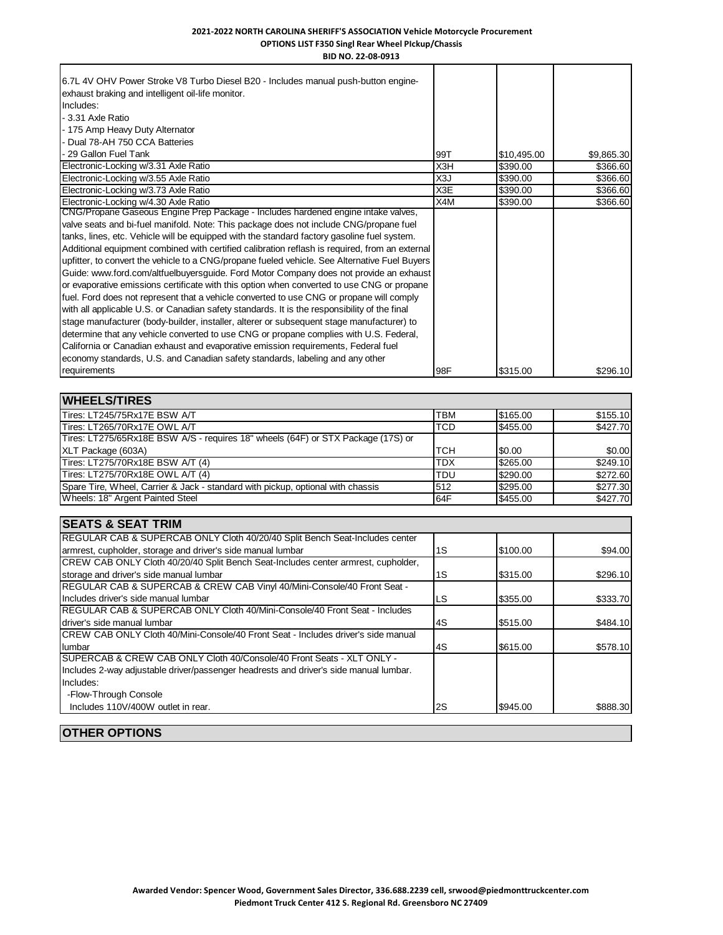| BID NO. 22-08-0913                                                                                                                                                                                                                                                                                                                                                                                                                                                                                                                                                                                                                                                                                                                                                                                                                                                                                                                                                                                                                                                                                                                                                                                                              |     |             |            |
|---------------------------------------------------------------------------------------------------------------------------------------------------------------------------------------------------------------------------------------------------------------------------------------------------------------------------------------------------------------------------------------------------------------------------------------------------------------------------------------------------------------------------------------------------------------------------------------------------------------------------------------------------------------------------------------------------------------------------------------------------------------------------------------------------------------------------------------------------------------------------------------------------------------------------------------------------------------------------------------------------------------------------------------------------------------------------------------------------------------------------------------------------------------------------------------------------------------------------------|-----|-------------|------------|
| 6.7L 4V OHV Power Stroke V8 Turbo Diesel B20 - Includes manual push-button engine-<br>exhaust braking and intelligent oil-life monitor.<br>Includes:<br>- 3.31 Axle Ratio<br>- 175 Amp Heavy Duty Alternator<br>- Dual 78-AH 750 CCA Batteries                                                                                                                                                                                                                                                                                                                                                                                                                                                                                                                                                                                                                                                                                                                                                                                                                                                                                                                                                                                  |     |             |            |
| - 29 Gallon Fuel Tank                                                                                                                                                                                                                                                                                                                                                                                                                                                                                                                                                                                                                                                                                                                                                                                                                                                                                                                                                                                                                                                                                                                                                                                                           | 99T | \$10,495.00 | \$9,865.30 |
| Electronic-Locking w/3.31 Axle Ratio                                                                                                                                                                                                                                                                                                                                                                                                                                                                                                                                                                                                                                                                                                                                                                                                                                                                                                                                                                                                                                                                                                                                                                                            | X3H | \$390.00    | \$366.60   |
| Electronic-Locking w/3.55 Axle Ratio                                                                                                                                                                                                                                                                                                                                                                                                                                                                                                                                                                                                                                                                                                                                                                                                                                                                                                                                                                                                                                                                                                                                                                                            | X3J | \$390.00    | \$366.60   |
| Electronic-Locking w/3.73 Axle Ratio                                                                                                                                                                                                                                                                                                                                                                                                                                                                                                                                                                                                                                                                                                                                                                                                                                                                                                                                                                                                                                                                                                                                                                                            | X3E | \$390.00    | \$366.60   |
| Electronic-Locking w/4.30 Axle Ratio                                                                                                                                                                                                                                                                                                                                                                                                                                                                                                                                                                                                                                                                                                                                                                                                                                                                                                                                                                                                                                                                                                                                                                                            | X4M | \$390.00    | \$366.60   |
| CNG/Propane Gaseous Engine Prep Package - Includes hardened engine intake valves,<br>valve seats and bi-fuel manifold. Note: This package does not include CNG/propane fuel<br>tanks, lines, etc. Vehicle will be equipped with the standard factory gasoline fuel system.<br>Additional equipment combined with certified calibration reflash is required, from an external<br>upfitter, to convert the vehicle to a CNG/propane fueled vehicle. See Alternative Fuel Buyers<br>Guide: www.ford.com/altfuelbuyersguide. Ford Motor Company does not provide an exhaust<br>or evaporative emissions certificate with this option when converted to use CNG or propane<br>fuel. Ford does not represent that a vehicle converted to use CNG or propane will comply<br>with all applicable U.S. or Canadian safety standards. It is the responsibility of the final<br>stage manufacturer (body-builder, installer, alterer or subsequent stage manufacturer) to<br>determine that any vehicle converted to use CNG or propane complies with U.S. Federal,<br>California or Canadian exhaust and evaporative emission requirements, Federal fuel<br>economy standards, U.S. and Canadian safety standards, labeling and any other |     |             |            |
| requirements                                                                                                                                                                                                                                                                                                                                                                                                                                                                                                                                                                                                                                                                                                                                                                                                                                                                                                                                                                                                                                                                                                                                                                                                                    | 98F | \$315.00    | \$296.10   |

| <b>WHEELS/TIRES</b>                                                              |            |          |          |
|----------------------------------------------------------------------------------|------------|----------|----------|
| Tires: LT245/75Rx17E BSW A/T                                                     | <b>TBM</b> | \$165.00 | \$155.10 |
| Tires: LT265/70Rx17E OWL A/T                                                     | <b>TCD</b> | \$455.00 | \$427.70 |
| Tires: LT275/65Rx18E BSW A/S - requires 18" wheels (64F) or STX Package (17S) or |            |          |          |
| XLT Package (603A)                                                               | 'тсн       | \$0.00   | \$0.00   |
| Tires: LT275/70Rx18E BSW A/T (4)                                                 | <b>TDX</b> | \$265.00 | \$249.10 |
| Tires: LT275/70Rx18E OWL A/T (4)                                                 | <b>TDU</b> | \$290.00 | \$272.60 |
| Spare Tire, Wheel, Carrier & Jack - standard with pickup, optional with chassis  | 512        | \$295.00 | \$277.30 |
| Wheels: 18" Argent Painted Steel                                                 | <b>64F</b> | \$455.00 | \$427.70 |

| <b>SEATS &amp; SEAT TRIM</b>                                                           |     |          |          |
|----------------------------------------------------------------------------------------|-----|----------|----------|
| REGULAR CAB & SUPERCAB ONLY Cloth 40/20/40 Split Bench Seat-Includes center            |     |          |          |
| armrest, cupholder, storage and driver's side manual lumbar                            | 1S  | \$100.00 | \$94.00  |
| CREW CAB ONLY Cloth 40/20/40 Split Bench Seat-Includes center armrest, cupholder,      |     |          |          |
| storage and driver's side manual lumbar                                                | l1S | \$315.00 | \$296.10 |
| REGULAR CAB & SUPERCAB & CREW CAB Vinyl 40/Mini-Console/40 Front Seat -                |     |          |          |
| Includes driver's side manual lumbar                                                   | LS  | \$355.00 | \$333.70 |
| <b>IREGULAR CAB &amp; SUPERCAB ONLY Cloth 40/Mini-Console/40 Front Seat - Includes</b> |     |          |          |
| Idriver's side manual lumbar                                                           | l4S | \$515.00 | \$484.10 |
| ICREW CAB ONLY Cloth 40/Mini-Console/40 Front Seat - Includes driver's side manual     |     |          |          |
| lumbar                                                                                 | l4S | \$615.00 | \$578.10 |
| <b>ISUPERCAB &amp; CREW CAB ONLY Cloth 40/Console/40 Front Seats - XLT ONLY -</b>      |     |          |          |
| Includes 2-way adjustable driver/passenger headrests and driver's side manual lumbar.  |     |          |          |
| Includes:                                                                              |     |          |          |
| -Flow-Through Console                                                                  |     |          |          |
| Includes 110V/400W outlet in rear.                                                     | l2S | \$945.00 | \$888.30 |
|                                                                                        |     |          |          |

**OTHER OPTIONS**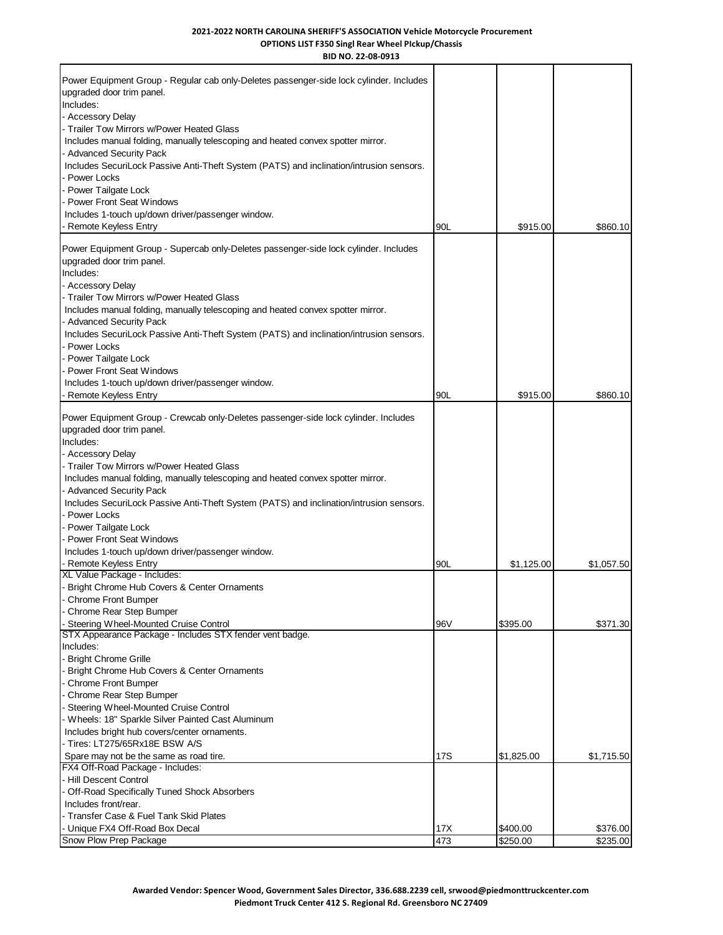| BID NO. 22-08-0913                                                                                                                                                                                                                                                                                                                                                                                                                                                                           |            |                      |            |
|----------------------------------------------------------------------------------------------------------------------------------------------------------------------------------------------------------------------------------------------------------------------------------------------------------------------------------------------------------------------------------------------------------------------------------------------------------------------------------------------|------------|----------------------|------------|
| Power Equipment Group - Regular cab only-Deletes passenger-side lock cylinder. Includes<br>upgraded door trim panel.<br>Includes:<br>- Accessory Delay<br>Trailer Tow Mirrors w/Power Heated Glass<br>Includes manual folding, manually telescoping and heated convex spotter mirror.<br><b>Advanced Security Pack</b><br>Includes SecuriLock Passive Anti-Theft System (PATS) and inclination/intrusion sensors.<br>Power Locks<br>Power Tailgate Lock<br><b>Power Front Seat Windows</b>   |            |                      |            |
| Includes 1-touch up/down driver/passenger window.                                                                                                                                                                                                                                                                                                                                                                                                                                            |            |                      |            |
| Remote Keyless Entry                                                                                                                                                                                                                                                                                                                                                                                                                                                                         | 90L        | \$915.00             | \$860.10   |
| Power Equipment Group - Supercab only-Deletes passenger-side lock cylinder. Includes<br>upgraded door trim panel.<br>Includes:<br><b>Accessory Delay</b><br>Trailer Tow Mirrors w/Power Heated Glass<br>Includes manual folding, manually telescoping and heated convex spotter mirror.<br><b>Advanced Security Pack</b><br>Includes SecuriLock Passive Anti-Theft System (PATS) and inclination/intrusion sensors.<br>Power Locks<br>Power Tailgate Lock<br><b>Power Front Seat Windows</b> |            |                      |            |
| Includes 1-touch up/down driver/passenger window.<br>Remote Keyless Entry                                                                                                                                                                                                                                                                                                                                                                                                                    | 90L        | \$915.00             | \$860.10   |
| upgraded door trim panel.<br>Includes:<br><b>Accessory Delay</b><br>Trailer Tow Mirrors w/Power Heated Glass<br>Includes manual folding, manually telescoping and heated convex spotter mirror.<br><b>Advanced Security Pack</b><br>Includes SecuriLock Passive Anti-Theft System (PATS) and inclination/intrusion sensors.<br>Power Locks<br>Power Tailgate Lock<br><b>Power Front Seat Windows</b><br>Includes 1-touch up/down driver/passenger window.<br><b>Remote Keyless Entry</b>     | 90L        | \$1,125.00           | \$1,057.50 |
| XL Value Package - Includes:                                                                                                                                                                                                                                                                                                                                                                                                                                                                 |            |                      |            |
| Bright Chrome Hub Covers & Center Ornaments<br><b>Chrome Front Bumper</b><br>Chrome Rear Step Bumper<br>Steering Wheel-Mounted Cruise Control                                                                                                                                                                                                                                                                                                                                                | 96V        | \$395.00             | \$371.30   |
| STX Appearance Package - Includes STX fender vent badge.<br>Includes:<br><b>Bright Chrome Grille</b><br>Bright Chrome Hub Covers & Center Ornaments<br><b>Chrome Front Bumper</b><br>Chrome Rear Step Bumper<br>Steering Wheel-Mounted Cruise Control<br>Wheels: 18" Sparkle Silver Painted Cast Aluminum<br>Includes bright hub covers/center ornaments.<br>Tires: LT275/65Rx18E BSW A/S<br>Spare may not be the same as road tire.                                                         | <b>17S</b> | \$1,825.00           | \$1,715.50 |
| FX4 Off-Road Package - Includes:<br><b>Hill Descent Control</b><br>Off-Road Specifically Tuned Shock Absorbers<br>Includes front/rear.<br>Transfer Case & Fuel Tank Skid Plates                                                                                                                                                                                                                                                                                                              |            |                      |            |
| Unique FX4 Off-Road Box Decal<br>Snow Plow Prep Package                                                                                                                                                                                                                                                                                                                                                                                                                                      | 17X<br>473 | \$400.00<br>\$250.00 | \$376.00   |
|                                                                                                                                                                                                                                                                                                                                                                                                                                                                                              |            |                      | \$235.00   |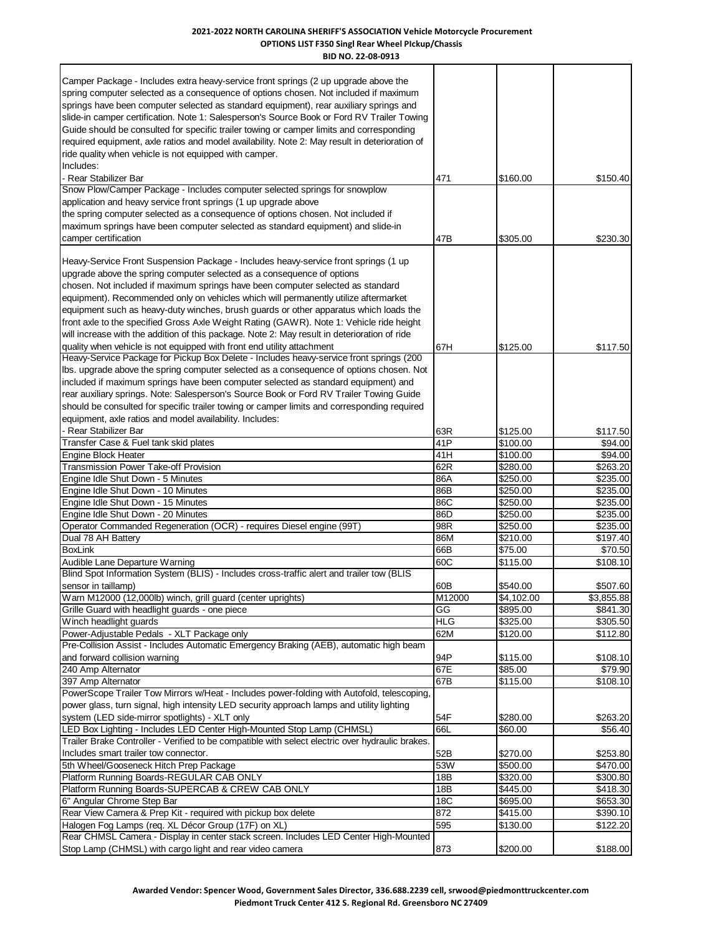| BID NO. 22-08-0913                                                                                                                                                                                                                                                                                                                                                                                                                                                                                                                                                                                                                       |                  |                      |                      |
|------------------------------------------------------------------------------------------------------------------------------------------------------------------------------------------------------------------------------------------------------------------------------------------------------------------------------------------------------------------------------------------------------------------------------------------------------------------------------------------------------------------------------------------------------------------------------------------------------------------------------------------|------------------|----------------------|----------------------|
| Camper Package - Includes extra heavy-service front springs (2 up upgrade above the<br>spring computer selected as a consequence of options chosen. Not included if maximum<br>springs have been computer selected as standard equipment), rear auxiliary springs and<br>slide-in camper certification. Note 1: Salesperson's Source Book or Ford RV Trailer Towing<br>Guide should be consulted for specific trailer towing or camper limits and corresponding<br>required equipment, axle ratios and model availability. Note 2: May result in deterioration of<br>ride quality when vehicle is not equipped with camper.<br>Includes: |                  |                      |                      |
| - Rear Stabilizer Bar                                                                                                                                                                                                                                                                                                                                                                                                                                                                                                                                                                                                                    | 471              | \$160.00             | \$150.40             |
| Snow Plow/Camper Package - Includes computer selected springs for snowplow<br>application and heavy service front springs (1 up upgrade above<br>the spring computer selected as a consequence of options chosen. Not included if<br>maximum springs have been computer selected as standard equipment) and slide-in<br>camper certification                                                                                                                                                                                                                                                                                             | 47B              |                      |                      |
|                                                                                                                                                                                                                                                                                                                                                                                                                                                                                                                                                                                                                                          |                  | \$305.00             | \$230.30             |
| Heavy-Service Front Suspension Package - Includes heavy-service front springs (1 up<br>upgrade above the spring computer selected as a consequence of options<br>chosen. Not included if maximum springs have been computer selected as standard<br>equipment). Recommended only on vehicles which will permanently utilize aftermarket<br>equipment such as heavy-duty winches, brush guards or other apparatus which loads the<br>front axle to the specified Gross Axle Weight Rating (GAWR). Note 1: Vehicle ride height<br>will increase with the addition of this package. Note 2: May result in deterioration of ride             |                  |                      |                      |
| quality when vehicle is not equipped with front end utility attachment                                                                                                                                                                                                                                                                                                                                                                                                                                                                                                                                                                   | 67H              | \$125.00             | \$117.50             |
| Heavy-Service Package for Pickup Box Delete - Includes heavy-service front springs (200<br>Ibs. upgrade above the spring computer selected as a consequence of options chosen. Not<br>included if maximum springs have been computer selected as standard equipment) and<br>rear auxiliary springs. Note: Salesperson's Source Book or Ford RV Trailer Towing Guide<br>should be consulted for specific trailer towing or camper limits and corresponding required<br>equipment, axle ratios and model availability. Includes:                                                                                                           |                  |                      |                      |
| Rear Stabilizer Bar                                                                                                                                                                                                                                                                                                                                                                                                                                                                                                                                                                                                                      | 63R              | \$125.00             | \$117.50             |
| Transfer Case & Fuel tank skid plates                                                                                                                                                                                                                                                                                                                                                                                                                                                                                                                                                                                                    | 41P              | \$100.00             | \$94.00              |
| <b>Engine Block Heater</b>                                                                                                                                                                                                                                                                                                                                                                                                                                                                                                                                                                                                               | 41H              | \$100.00             | \$94.00              |
| Transmission Power Take-off Provision                                                                                                                                                                                                                                                                                                                                                                                                                                                                                                                                                                                                    | 62R              | \$280.00             | \$263.20             |
| Engine Idle Shut Down - 5 Minutes                                                                                                                                                                                                                                                                                                                                                                                                                                                                                                                                                                                                        | 86A              | \$250.00             | \$235.00             |
| Engine Idle Shut Down - 10 Minutes<br>Engine Idle Shut Down - 15 Minutes                                                                                                                                                                                                                                                                                                                                                                                                                                                                                                                                                                 | 86B<br>86C       | \$250.00<br>\$250.00 | \$235.00<br>\$235.00 |
| Engine Idle Shut Down - 20 Minutes                                                                                                                                                                                                                                                                                                                                                                                                                                                                                                                                                                                                       | 86D              | \$250.00             | \$235.00             |
| Operator Commanded Regeneration (OCR) - requires Diesel engine (99T)                                                                                                                                                                                                                                                                                                                                                                                                                                                                                                                                                                     | 98R              | \$250.00             | \$235.00             |
| Dual 78 AH Battery                                                                                                                                                                                                                                                                                                                                                                                                                                                                                                                                                                                                                       | 86M              | \$210.00             | \$197.40             |
| <b>BoxLink</b>                                                                                                                                                                                                                                                                                                                                                                                                                                                                                                                                                                                                                           | 66B              | \$75.00              | \$70.50              |
| Audible Lane Departure Warning                                                                                                                                                                                                                                                                                                                                                                                                                                                                                                                                                                                                           | 60C              | \$115.00             | \$108.10             |
| Blind Spot Information System (BLIS) - Includes cross-traffic alert and trailer tow (BLIS<br>sensor in taillamp)                                                                                                                                                                                                                                                                                                                                                                                                                                                                                                                         | 60B              | \$540.00             | \$507.60             |
| Warn M12000 (12,000lb) winch, grill guard (center uprights)                                                                                                                                                                                                                                                                                                                                                                                                                                                                                                                                                                              | M12000           | \$4,102.00           | \$3,855.88           |
| Grille Guard with headlight guards - one piece<br>Winch headlight guards                                                                                                                                                                                                                                                                                                                                                                                                                                                                                                                                                                 | GG<br><b>HLG</b> | \$895.00<br>\$325.00 | \$841.30<br>\$305.50 |
| Power-Adjustable Pedals - XLT Package only                                                                                                                                                                                                                                                                                                                                                                                                                                                                                                                                                                                               | 62M              | \$120.00             | \$112.80             |
| Pre-Collision Assist - Includes Automatic Emergency Braking (AEB), automatic high beam                                                                                                                                                                                                                                                                                                                                                                                                                                                                                                                                                   |                  |                      |                      |
| and forward collision warning                                                                                                                                                                                                                                                                                                                                                                                                                                                                                                                                                                                                            | 94P              | \$115.00             | \$108.10             |
| 240 Amp Alternator                                                                                                                                                                                                                                                                                                                                                                                                                                                                                                                                                                                                                       | 67E              | \$85.00              | \$79.90              |
| 397 Amp Alternator                                                                                                                                                                                                                                                                                                                                                                                                                                                                                                                                                                                                                       | 67B              | \$115.00             | $\overline{$}108.10$ |
| PowerScope Trailer Tow Mirrors w/Heat - Includes power-folding with Autofold, telescoping,<br>power glass, turn signal, high intensity LED security approach lamps and utility lighting                                                                                                                                                                                                                                                                                                                                                                                                                                                  |                  |                      |                      |
| system (LED side-mirror spotlights) - XLT only<br>LED Box Lighting - Includes LED Center High-Mounted Stop Lamp (CHMSL)                                                                                                                                                                                                                                                                                                                                                                                                                                                                                                                  | 54F<br>66L       | \$280.00             | \$263.20             |
| Trailer Brake Controller - Verified to be compatible with select electric over hydraulic brakes.                                                                                                                                                                                                                                                                                                                                                                                                                                                                                                                                         |                  | \$60.00              | \$56.40              |
| Includes smart trailer tow connector.                                                                                                                                                                                                                                                                                                                                                                                                                                                                                                                                                                                                    | 52B              | \$270.00             | \$253.80             |
| 5th Wheel/Gooseneck Hitch Prep Package                                                                                                                                                                                                                                                                                                                                                                                                                                                                                                                                                                                                   | 53W              | \$500.00             | \$470.00             |
| Platform Running Boards-REGULAR CAB ONLY                                                                                                                                                                                                                                                                                                                                                                                                                                                                                                                                                                                                 | 18B              | \$320.00             | \$300.80             |
| Platform Running Boards-SUPERCAB & CREW CAB ONLY                                                                                                                                                                                                                                                                                                                                                                                                                                                                                                                                                                                         | 18B              | \$445.00             | \$418.30             |
| 6" Angular Chrome Step Bar                                                                                                                                                                                                                                                                                                                                                                                                                                                                                                                                                                                                               | 18C<br>872       | \$695.00             | \$653.30             |
| Rear View Camera & Prep Kit - required with pickup box delete<br>Halogen Fog Lamps (req. XL Décor Group (17F) on XL)                                                                                                                                                                                                                                                                                                                                                                                                                                                                                                                     | 595              | \$415.00<br>\$130.00 | \$390.10<br>\$122.20 |
| Rear CHMSL Camera - Display in center stack screen. Includes LED Center High-Mounted                                                                                                                                                                                                                                                                                                                                                                                                                                                                                                                                                     |                  |                      |                      |
| Stop Lamp (CHMSL) with cargo light and rear video camera                                                                                                                                                                                                                                                                                                                                                                                                                                                                                                                                                                                 | 873              | \$200.00             | \$188.00             |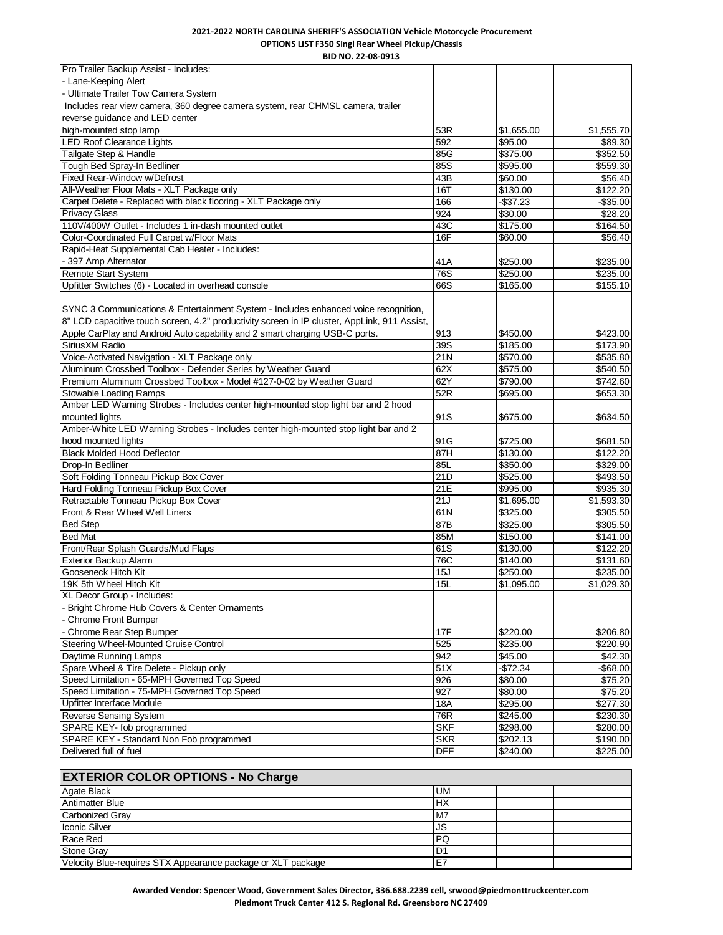**BID NO. 22-08-0913**

| Pro Trailer Backup Assist - Includes:                                                                 |                         |                        |                        |
|-------------------------------------------------------------------------------------------------------|-------------------------|------------------------|------------------------|
| - Lane-Keeping Alert                                                                                  |                         |                        |                        |
| Ultimate Trailer Tow Camera System                                                                    |                         |                        |                        |
| Includes rear view camera, 360 degree camera system, rear CHMSL camera, trailer                       |                         |                        |                        |
| reverse guidance and LED center                                                                       |                         |                        |                        |
| high-mounted stop lamp                                                                                | 53R                     | \$1,655.00             | \$1,555.70             |
| <b>LED Roof Clearance Lights</b>                                                                      | 592                     | \$95.00                | \$89.30                |
| Tailgate Step & Handle                                                                                | 85G                     | \$375.00               | \$352.50               |
| Tough Bed Spray-In Bedliner                                                                           | 85S                     | \$595.00               | \$559.30               |
| Fixed Rear-Window w/Defrost                                                                           | 43B                     | \$60.00                | \$56.40                |
| All-Weather Floor Mats - XLT Package only                                                             | 16T                     | \$130.00               | \$122.20               |
| Carpet Delete - Replaced with black flooring - XLT Package only                                       | 166                     | $-$37.23$              | $-$ \$35.00            |
| <b>Privacy Glass</b>                                                                                  | 924                     | \$30.00                | \$28.20                |
| 110V/400W Outlet - Includes 1 in-dash mounted outlet                                                  | 43C                     | \$175.00               | \$164.50               |
| Color-Coordinated Full Carpet w/Floor Mats                                                            | 16F                     | \$60.00                | \$56.40                |
| Rapid-Heat Supplemental Cab Heater - Includes:                                                        |                         |                        |                        |
| - 397 Amp Alternator                                                                                  | 41 A                    | \$250.00               | \$235.00               |
| <b>Remote Start System</b>                                                                            | 76S                     | \$250.00               | \$235.00               |
| Upfitter Switches (6) - Located in overhead console                                                   | 66S                     | \$165.00               | \$155.10               |
|                                                                                                       |                         |                        |                        |
| SYNC 3 Communications & Entertainment System - Includes enhanced voice recognition,                   |                         |                        |                        |
| 8" LCD capacitive touch screen, 4.2" productivity screen in IP cluster, AppLink, 911 Assist,          |                         |                        |                        |
| Apple CarPlay and Android Auto capability and 2 smart charging USB-C ports.                           | 913                     | \$450.00               | \$423.00               |
| SiriusXM Radio                                                                                        | $\overline{39S}$        | \$185.00               | \$173.90               |
| Voice-Activated Navigation - XLT Package only                                                         | $\overline{21N}$        | \$570.00               | \$535.80               |
| Aluminum Crossbed Toolbox - Defender Series by Weather Guard                                          | 62X                     | \$575.00               |                        |
| Premium Aluminum Crossbed Toolbox - Model #127-0-02 by Weather Guard                                  | 62Y                     | \$790.00               | \$540.50               |
| <b>Stowable Loading Ramps</b>                                                                         | 52R                     |                        | \$742.60               |
| Amber LED Warning Strobes - Includes center high-mounted stop light bar and 2 hood                    |                         | \$695.00               | \$653.30               |
|                                                                                                       |                         |                        |                        |
| mounted lights<br>Amber-White LED Warning Strobes - Includes center high-mounted stop light bar and 2 | 91S                     | \$675.00               | \$634.50               |
|                                                                                                       |                         |                        |                        |
| hood mounted lights                                                                                   | 91G<br>87H              | \$725.00               | \$681.50               |
| <b>Black Molded Hood Deflector</b><br>Drop-In Bedliner                                                | 85L                     | \$130.00<br>\$350.00   | \$122.20<br>\$329.00   |
| Soft Folding Tonneau Pickup Box Cover                                                                 | 21D                     |                        |                        |
| Hard Folding Tonneau Pickup Box Cover                                                                 |                         | \$525.00               | \$493.50               |
| Retractable Tonneau Pickup Box Cover                                                                  | 21E<br>$\overline{21J}$ | \$995.00               | \$935.30               |
| Front & Rear Wheel Well Liners                                                                        | 61N                     | \$1,695.00<br>\$325.00 | \$1,593.30<br>\$305.50 |
|                                                                                                       |                         |                        |                        |
| <b>Bed Step</b>                                                                                       | 87B                     | \$325.00               | \$305.50               |
| <b>Bed Mat</b><br>Front/Rear Splash Guards/Mud Flaps                                                  | 85M<br>61S              | \$150.00<br>\$130.00   | \$141.00<br>\$122.20   |
| <b>Exterior Backup Alarm</b>                                                                          | 76C                     |                        |                        |
|                                                                                                       |                         | \$140.00               | \$131.60               |
| Gooseneck Hitch Kit                                                                                   | 15J                     | \$250.00               | \$235.00               |
| 19K 5th Wheel Hitch Kit                                                                               | 15L                     | \$1,095.00             | \$1,029.30             |
| XL Decor Group - Includes:                                                                            |                         |                        |                        |
| - Bright Chrome Hub Covers & Center Ornaments                                                         |                         |                        |                        |
| - Chrome Front Bumper                                                                                 |                         |                        |                        |
| - Chrome Rear Step Bumper                                                                             | 17F                     | \$220.00               | \$206.80               |
| <b>Steering Wheel-Mounted Cruise Control</b>                                                          | $\overline{525}$        | \$235.00               | \$220.90               |
| Daytime Running Lamps                                                                                 | 942                     | \$45.00                | \$42.30                |
| Spare Wheel & Tire Delete - Pickup only                                                               | $\overline{51}$         | -\$72.34               | $-$ \$68.00            |
| Speed Limitation - 65-MPH Governed Top Speed                                                          | 926                     | \$80.00                | \$75.20                |
| Speed Limitation - 75-MPH Governed Top Speed                                                          | 927                     | \$80.00                | \$75.20                |
| Upfitter Interface Module                                                                             | 18A                     | \$295.00               | \$277.30               |
| <b>Reverse Sensing System</b>                                                                         | 76R                     | \$245.00               | \$230.30               |
| SPARE KEY- fob programmed                                                                             | <b>SKF</b>              | \$298.00               | \$280.00               |
| SPARE KEY - Standard Non Fob programmed                                                               | <b>SKR</b>              | \$202.13               | \$190.00               |
| Delivered full of fuel                                                                                | DFF                     | \$240.00               | \$225.00               |

# **EXTERIOR COLOR OPTIONS - No Charge**

| Agate Black                                                  | <b>UM</b>      |  |
|--------------------------------------------------------------|----------------|--|
| <b>Antimatter Blue</b>                                       | HX             |  |
| <b>Carbonized Gray</b>                                       | M7             |  |
| <b>Iconic Silver</b>                                         | JS             |  |
| Race Red                                                     | PQ             |  |
| <b>Stone Gray</b>                                            | D <sub>1</sub> |  |
| Velocity Blue-requires STX Appearance package or XLT package | E7             |  |

**Awarded Vendor: Spencer Wood, Government Sales Director, 336.688.2239 cell, srwood@piedmonttruckcenter.com Piedmont Truck Center 412 S. Regional Rd. Greensboro NC 27409**